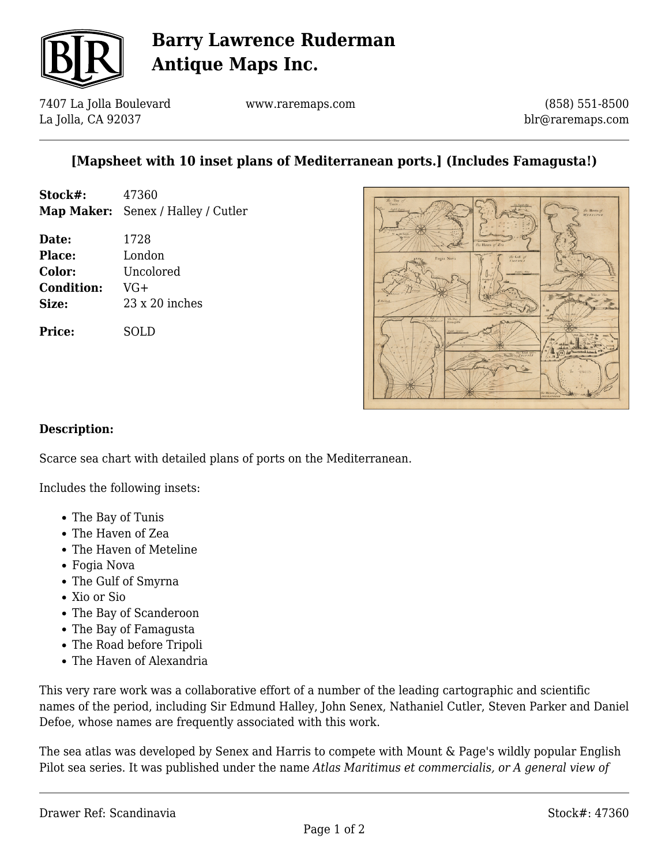

# **Barry Lawrence Ruderman Antique Maps Inc.**

7407 La Jolla Boulevard La Jolla, CA 92037

www.raremaps.com

(858) 551-8500 blr@raremaps.com

### **[Mapsheet with 10 inset plans of Mediterranean ports.] (Includes Famagusta!)**

| Stock#: | 47360                                     |
|---------|-------------------------------------------|
|         | <b>Map Maker:</b> Senex / Halley / Cutler |

**Date:** 1728 **Place:** London **Color:** Uncolored **Condition:** VG+ **Size:** 23 x 20 inches

**Price:** SOLD



#### **Description:**

Scarce sea chart with detailed plans of ports on the Mediterranean.

Includes the following insets:

- The Bay of Tunis
- The Haven of Zea
- The Haven of Meteline
- Fogia Nova
- The Gulf of Smyrna
- Xio or Sio
- The Bay of Scanderoon
- The Bay of Famagusta
- The Road before Tripoli
- The Haven of Alexandria

This very rare work was a collaborative effort of a number of the leading cartographic and scientific names of the period, including Sir Edmund Halley, John Senex, Nathaniel Cutler, Steven Parker and Daniel Defoe, whose names are frequently associated with this work.

The sea atlas was developed by Senex and Harris to compete with Mount & Page's wildly popular English Pilot sea series. It was published under the name *Atlas Maritimus et commercialis, or A general view of*